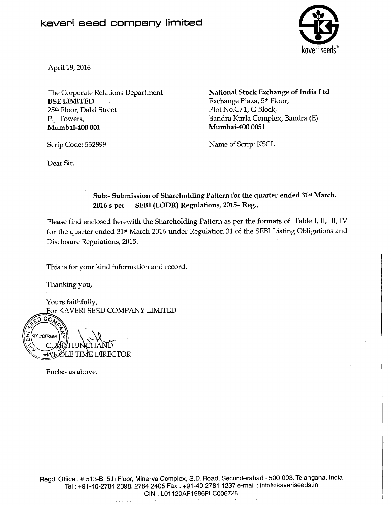## **kaveri seed company limited**



April 19,2016

BSE LIMITED Exchange Plaza, 5<sup>th</sup> Floor,<br>25<sup>th</sup> Floor, Dalal Street Plot No.C/1, G Block, 25th Floor, Dalal Street P.J. Towers, Bandra Kurla Complex, Bandra (E) Mumbai-400 001 Mumbai-400 0051

The Corporate Relations Department National Stock Exchange of India Ltd

Scrip Code: 532899 Name of Scrip: KSCL

Dear Sir,

## Sub:- Submission of Shareholding Pattern for the quarter ended 31st March, 2016 s per SEBI (LODR) Regulations, 2015- Reg.,

Please find enclosed herewith the Shareholding Pattern as per the formats of Table I, II, III, IV for the quarter ended 31st March 2016 under Regulation 31 of the SEBI Listing Obligations and Disclosure Regulations, 2015.

This is for your kind information and record.

Thanking you,

Yours faithfully, For KAVERI SEED COMPANY LIMITED

COM n SECUNDERABAD **WHOLE TIME DIRECTOR** 

Encls:- as above.

~~~ ~~~ **I**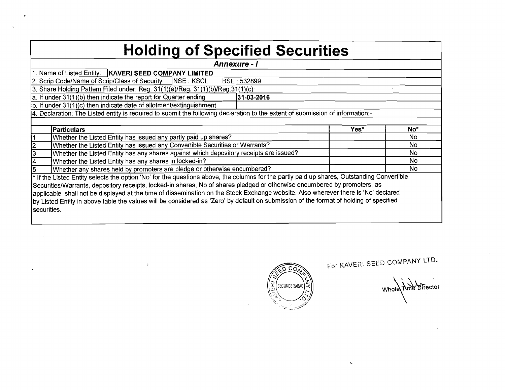| <b>Holding of Specified Securities</b>                                                                                                     |      |     |
|--------------------------------------------------------------------------------------------------------------------------------------------|------|-----|
| <b>Annexure - I</b>                                                                                                                        |      |     |
| 1. Name of Listed Entity:   KAVERI SEED COMPANY LIMITED                                                                                    |      |     |
| <b>INSE: KSCL</b><br>2. Scrip Code/Name of Scrip/Class of Security<br>BSE: 532899                                                          |      |     |
| 3. Share Holding Pattern Filed under: Reg. 31(1)(a)/Reg. 31(1)(b)/Reg. 31(1)(c)                                                            |      |     |
| a. If under 31(1)(b) then indicate the report for Quarter ending<br>31-03-2016                                                             |      |     |
| b. If under 31(1)(c) then indicate date of allotment/extinguishment                                                                        |      |     |
| 4. Declaration: The Listed entity is required to submit the following declaration to the extent of submission of information:-             |      |     |
|                                                                                                                                            |      |     |
| Particulars                                                                                                                                | Yes* | No* |
| Whether the Listed Entity has issued any partly paid up shares?                                                                            |      | No  |
| Whether the Listed Entity has issued any Convertible Securities or Warrants?                                                               |      | No. |
| $\overline{3}$<br>Whether the Listed Entity has any shares against which depository receipts are issued?                                   |      | No  |
| Whether the Listed Entity has any shares in locked-in?                                                                                     |      | No  |
| Whether any shares held by promoters are pledge or otherwise encumbered?                                                                   |      | No  |
| * If the Listed Entity selects the option 'No' for the questions above, the columns for the partly paid up shares, Outstanding Convertible |      |     |
| Securities/Warrants, depository receipts, locked-in shares, No of shares pledged or otherwise encumbered by promoters, as                  |      |     |
| applicable, shall not be displayed at the time of dissemination on the Stock Exchange website. Also wherever there is 'No' declared        |      |     |
| by Listed Entity in above table the values will be considered as 'Zero' by default on submission of the format of holding of specified     |      |     |
| securities.                                                                                                                                |      |     |
|                                                                                                                                            |      |     |

 $\ddot{\phantom{1}}$ 

 $\langle g \rangle$ 

 $\mathcal{L}^{\text{max}}_{\text{max}}$  , where  $\mathcal{L}^{\text{max}}_{\text{max}}$ 

 $\sim$   $\sim$ 

 $\sim 10^{11}$  km s  $^{-1}$ 

 $\sim$ 

 $\mathbb{V}_\mathcal{S}$ 



For KAVERI SEED COMPANY LTD.

 $\tilde{\mathbf{r}}$ 

Whole Time Birector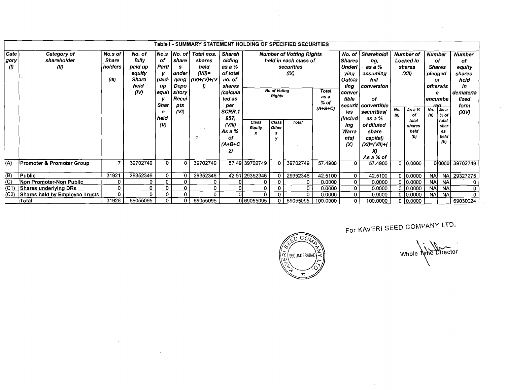|                           | Table I - SUMMARY STATEMENT HOLDING OF SPECIFIED SECURITIES<br><b>Number of Votting Rights</b> |                                                                                                                                                                                                                                                                                                                                                                                                                                                      |          |                                           |             |          |                                                                 |                                                           |              |                                             |                                                    |                                                                                                                          |                                                                            |  |                                           |                                                        |                          |                                                                      |
|---------------------------|------------------------------------------------------------------------------------------------|------------------------------------------------------------------------------------------------------------------------------------------------------------------------------------------------------------------------------------------------------------------------------------------------------------------------------------------------------------------------------------------------------------------------------------------------------|----------|-------------------------------------------|-------------|----------|-----------------------------------------------------------------|-----------------------------------------------------------|--------------|---------------------------------------------|----------------------------------------------------|--------------------------------------------------------------------------------------------------------------------------|----------------------------------------------------------------------------|--|-------------------------------------------|--------------------------------------------------------|--------------------------|----------------------------------------------------------------------|
| Cate<br>gory)<br>$\omega$ | Category of<br>shareholder<br>(11)                                                             | No.s<br>No. of<br> No. of Total nos.<br><b>Shareh</b><br>No.s of<br>fully<br><b>Share</b><br>оf<br>share<br>olding<br>shares<br>paid up<br>Parti<br>holders<br>as a %<br>heid<br>s<br>$(VII)$ =<br>equity<br>of total<br>under<br>у<br>(III)<br><b>Share</b><br>paid-<br>lying<br>$ (IV)+(V)+(V) $<br>no. of<br>heid<br>Depo<br>up<br>IJ<br>shares<br><b>No of Voting</b><br>(IV)<br>sitory<br>(calcula<br>equit<br><b>Rights</b><br>Recei<br>ted as |          |                                           |             |          |                                                                 |                                                           |              | held in each class of<br>securities<br>(IX) | Total<br>as a<br>$%$ of                            | No. of<br><b>Shares</b><br><b>Underl</b><br>ying<br>Outsta<br>ting<br>conver<br>tible                                    | Shareholdi<br>ng,<br>as a %<br>assuming<br>full<br><b>conversion</b><br>οf |  | Number of<br>Locked in<br>shares<br>(XII) | <b>Number</b><br>pledged<br>or<br>otherwis<br>encumbe  | οf<br><b>Shares</b><br>е | Number<br>of<br>equity<br>shares<br>held<br>in<br>demateria<br>lized |
|                           |                                                                                                |                                                                                                                                                                                                                                                                                                                                                                                                                                                      |          | <b>Shar</b><br>е<br>held<br>$\mathcal{N}$ | pts<br>(VI) | や        | per<br>SCRR.1<br>957)<br>(VIII)<br>As a %<br>оf<br>(A+B+C<br>2) | Class<br>Class<br>Total<br>Other<br>Equity<br>x<br>s<br>v |              | $(A+B+C)$                                   | ies<br>(includ<br>ing<br>Warra<br>nts)<br>$\infty$ | securit convertible<br>securities(<br>as a %<br>of diluted<br>share<br>capital)<br>$(XI) = (VII) + ($<br>X)<br>As a % of | No.<br>As a %<br>(a)<br>of<br>total<br>shares<br>held<br>(b)               |  | red<br>No.<br>(a)                         | l As a<br>% of<br>l total<br>shar<br>es<br>held<br>(b) | form<br>(XIV)            |                                                                      |
| (A)                       | <b>Promoter &amp; Promoter Group</b>                                                           | 7                                                                                                                                                                                                                                                                                                                                                                                                                                                    | 39702749 | $\Omega$                                  | 0           | 39702749 |                                                                 | 57.49 39702749                                            | $\mathbf{0}$ | 39702749                                    | 57.4900                                            | 0                                                                                                                        | 57.4900                                                                    |  | 010.0000                                  |                                                        |                          | 00000 39702749                                                       |
| (B)                       | <b>Public</b>                                                                                  | 31921                                                                                                                                                                                                                                                                                                                                                                                                                                                | 29352346 | $\mathbf{0}$                              | 0           | 29352346 |                                                                 | 42.51 29352346                                            | 0            | 29352346                                    | 42.5100                                            | $\Omega$                                                                                                                 | 42.5100                                                                    |  | $0$ 0.0000                                | <b>NA</b>                                              | <b>NA</b>                | 29327275                                                             |
| (C)                       | Non Promoter-Non Public                                                                        | 0                                                                                                                                                                                                                                                                                                                                                                                                                                                    | 0        | 0                                         | 0           | 0        |                                                                 | 0                                                         |              | 0                                           | 0.0000                                             | $\mathbf{O}$                                                                                                             | 0.0000                                                                     |  | 0   0.0000                                | <b>NA</b>                                              | <b>NA</b>                | $\mathbf 0$                                                          |
| (C1)                      | Shares underlying DRs                                                                          | 0                                                                                                                                                                                                                                                                                                                                                                                                                                                    | 0        | 0                                         | 0           | 0        |                                                                 | 0                                                         | 0            | 0.                                          | 0.0000                                             | $\mathbf{0}$                                                                                                             | 0.0000                                                                     |  | 0   0.0000                                | <b>NA</b>                                              | <b>NA</b>                | 0                                                                    |
| (C2)                      | Shares held by Employee Trusts                                                                 | 0                                                                                                                                                                                                                                                                                                                                                                                                                                                    | 0        | 0                                         | 0           | 0        | $\overline{0}$                                                  | 0.                                                        | 0            | 0                                           | 0.0000                                             | $\mathbf{O}$                                                                                                             | 0.0000                                                                     |  | 0 10.0000                                 | <b>NA</b>                                              | <b>NA</b>                | O                                                                    |
|                           | <b>Total</b>                                                                                   | 31928                                                                                                                                                                                                                                                                                                                                                                                                                                                | 69055095 | $\mathbf{0}$                              | 0           | 69055095 |                                                                 | 0 69055095                                                |              | 69055095                                    | 100.0000                                           | 0                                                                                                                        | 100.0000                                                                   |  | 0 0.0000                                  |                                                        |                          | 69030024                                                             |

 $\sim$ 

<u> ၁၀၇</u> SECUNDERABAD œ

For KAVERI SEED COMPANY LTD.

 $\sim$   $\sim$ 

Whole Nine Director

 $\ddot{\phantom{a}}$ 

 $\sim$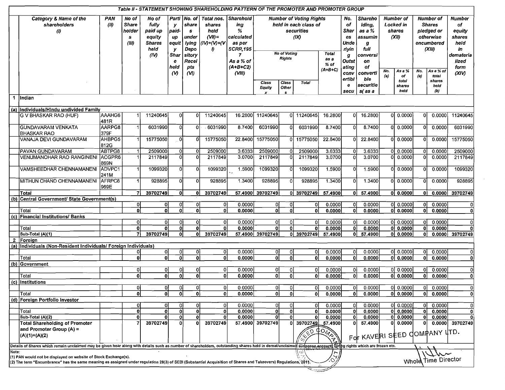|              |                                                                                                                                                                                                                                      |                    |                                               | Table II - STATEMENT SHOWING SHAREHOLDING PATTERN OF THE PROMOTER AND PROMOTER GROUP |                                |                                                                 |                                                                  |                                                                         |                                                                                              |                     |               |                                          |                                                            |                                         |                                                         |                                         |                                                                               |                                                       |                            |
|--------------|--------------------------------------------------------------------------------------------------------------------------------------------------------------------------------------------------------------------------------------|--------------------|-----------------------------------------------|--------------------------------------------------------------------------------------|--------------------------------|-----------------------------------------------------------------|------------------------------------------------------------------|-------------------------------------------------------------------------|----------------------------------------------------------------------------------------------|---------------------|---------------|------------------------------------------|------------------------------------------------------------|-----------------------------------------|---------------------------------------------------------|-----------------------------------------|-------------------------------------------------------------------------------|-------------------------------------------------------|----------------------------|
|              | Category & Name of the<br>shareholders<br>$\langle l \rangle$                                                                                                                                                                        | <b>PAN</b><br>(10) | No of<br><b>Share</b><br>holder<br>s<br>(III) | No of<br>fully<br>paid up<br>equity<br><b>Shares</b><br>held                         | y<br>paid-<br>up<br>equit<br>у | Parti No. of<br>share<br>$\mathbf{s}$<br>under<br>lying<br>Depo | Total nos.<br>shares<br>held<br>$(VII)$ =<br>$(IV)+(V)+(V)$<br>Đ | <b>Sharehold</b><br>ing<br>%<br>calculated<br>as per<br><b>SCRR,195</b> | <b>Number of Voting Rights</b><br>held in each class of<br>securities<br>(1)<br>No of Voting |                     |               | No.<br>of<br>Shar<br>es<br>Unde<br>rlyin | <b>Shareho</b><br>Iding,<br>as a %<br>assumin<br>g<br>full |                                         | <b>Number of</b><br><b>Locked</b> in<br>shares<br>(XII) |                                         | Number of<br><b>Shares</b><br>pledged or<br>otherwise<br>encumbered<br>(XIII) | <b>Number</b><br>of<br>equity<br>shares<br>held<br>in |                            |
|              |                                                                                                                                                                                                                                      |                    |                                               | (IV)                                                                                 | <b>Shar</b><br>e<br>held       | sitory<br>Recei<br>pts                                          |                                                                  | 7<br>As a % of<br>$(A+B+C2)$                                            |                                                                                              | <b>Rights</b>       |               | <b>Total</b><br>as a<br>% of             | g<br>Outst<br>ating                                        | conversi<br>on<br>of                    |                                                         |                                         |                                                                               |                                                       | demateria<br>lized<br>form |
|              |                                                                                                                                                                                                                                      |                    |                                               |                                                                                      | $\omega$                       | (M)                                                             |                                                                  | (VIII)                                                                  | Class<br>Equity                                                                              | Class<br>Other<br>s | Total         | $(A+B+C)$                                | conv<br>ertibl<br>е<br>secu                                | converti<br>ble<br>securitie<br>s(as a  | No.<br>(a)                                              | As a %<br>of<br>total<br>shares<br>held | No.<br>(a)                                                                    | As a % of<br>total<br>shares<br>held<br>(b)           | (XIV)                      |
| $\mathbf{1}$ | lIndian                                                                                                                                                                                                                              |                    |                                               |                                                                                      |                                |                                                                 |                                                                  |                                                                         |                                                                                              |                     |               |                                          |                                                            |                                         |                                                         |                                         |                                                                               |                                                       |                            |
|              | (a) Individuals/Hindu undivided Family                                                                                                                                                                                               |                    |                                               |                                                                                      |                                |                                                                 |                                                                  |                                                                         |                                                                                              |                     |               |                                          |                                                            |                                         |                                                         |                                         |                                                                               |                                                       |                            |
|              | <b>G V BHASKAR RAO (HUF)</b>                                                                                                                                                                                                         | AAAHG6<br>481R     |                                               | 11240645                                                                             | 0l                             | ΩI                                                              | 11240645                                                         | 16.2800                                                                 | 11240645                                                                                     |                     | 0 11240645    | 16.2800                                  | O                                                          | 16.2800                                 |                                                         | 010.0000                                | n                                                                             | 0.0000                                                | 11240645                   |
|              | <b>GUNDAVARAM VENKATA</b><br><b>BHASKAR RAO</b>                                                                                                                                                                                      | AARPG8<br>379F     |                                               | 6031990                                                                              | ΩI                             | 0l                                                              | 6031990                                                          | 8.7400                                                                  | 6031990                                                                                      | U                   | 6031990       | 8.7400                                   |                                                            | 8.7400                                  | οI                                                      | 0.0000                                  | $\Omega$                                                                      | 0.0000                                                | 6031990                    |
|              | VANAJA DEVI GUNDAVARAM                                                                                                                                                                                                               | AHBPG5<br>812G     |                                               | 15775050                                                                             | 0l                             | Ől                                                              | 15775050                                                         | 22.8400                                                                 | 15775050                                                                                     | 0l                  | 15775050      | 22.8400                                  | οI                                                         | 22.8400                                 |                                                         | 0 0.0000                                | 0                                                                             | 0.0000                                                | 15775050                   |
|              | <b>PAVAN GUNDAVARAM</b>                                                                                                                                                                                                              | ABTPG8             |                                               | 2509000                                                                              | $\vert 0 \vert$                | οI                                                              | 2509000                                                          | 3.6333                                                                  | 2509000                                                                                      | n                   | 2509000       | 3.6333                                   | $\Omega$                                                   | 3.6333                                  |                                                         | 0 0.0000                                | 0                                                                             | 0.0000                                                | 2509000                    |
|              | <b>VENUMANOHAR RAO RANGINENI ACGPR6</b>                                                                                                                                                                                              | 869N               |                                               | 2117849                                                                              | $\overline{0}$                 | ΩI                                                              | 2117849                                                          | 3.0700                                                                  | 2117849                                                                                      | n                   | 2117849       | 3.0700                                   |                                                            | 3.0700                                  |                                                         | 0 0.0000                                | - Ol                                                                          | 0.0000                                                | 2117849                    |
|              | VAMSHEEDHAR CHENNAMANENI ADVPC1                                                                                                                                                                                                      | 241M               |                                               | 1099320                                                                              | 0                              | 0l                                                              | 1099320                                                          | 1.5900                                                                  | 1099320                                                                                      | o                   | 1099320       | 1.5900                                   |                                                            | 1.5900                                  |                                                         | 0 0.0000                                | n                                                                             | 0.0000                                                | 1099320                    |
|              | MITHUN CHAND CHENNAMANENI                                                                                                                                                                                                            | AFRPC8<br>969E     |                                               | 928895                                                                               | $\Omega$                       | οl                                                              | 928895                                                           | 1.3400                                                                  | 928895                                                                                       | o                   | 928895        | 1.3400                                   | 01                                                         | 1.3400                                  |                                                         | 0 0.0000                                | 0                                                                             | 0.0000                                                | 928895                     |
|              | Total                                                                                                                                                                                                                                |                    | 7                                             | 39702749                                                                             | $\mathbf{0}$                   | ٥I                                                              | 39702749                                                         | 57,4900                                                                 | 39702749                                                                                     |                     | 0 39702749    | 57.4900                                  | 0I.                                                        | 57.4900                                 |                                                         | 0 0.0000                                | 01                                                                            | 0.0000                                                | 39702749                   |
|              | (b) Central Government/ State Government(s)                                                                                                                                                                                          |                    | οI                                            | 0                                                                                    | $\mathbf{0}$                   | οl                                                              | -01                                                              | 0.0000                                                                  | 0                                                                                            | οI                  | 01            | 0.0000                                   | ΩI                                                         | 0.0000                                  |                                                         | 0 0.0000                                | ΩL                                                                            | 0.0000                                                |                            |
|              | Total                                                                                                                                                                                                                                |                    | οĪ                                            | οl                                                                                   | 0                              | ol                                                              | οl                                                               | 0.0000                                                                  | ٥l                                                                                           | ٥l                  | ٥l            | 0.0000                                   | οl                                                         | 0.0000                                  |                                                         | 0 0.0000                                | ٥I                                                                            | 0.0000                                                | $\mathbf{0}$               |
|              | (c) Financial Institutions/ Banks                                                                                                                                                                                                    |                    |                                               |                                                                                      |                                |                                                                 |                                                                  |                                                                         |                                                                                              |                     |               |                                          |                                                            |                                         |                                                         |                                         |                                                                               |                                                       |                            |
|              |                                                                                                                                                                                                                                      |                    | 0I                                            | 0                                                                                    | 0                              | οı                                                              | οI                                                               | 0.0000                                                                  | 0                                                                                            | ŋ.                  | ΩI            | 0.0000                                   | 01                                                         | 0.0000                                  |                                                         | 0 0.0000                                | 01                                                                            | 0.0000                                                |                            |
|              | Total                                                                                                                                                                                                                                |                    | $\overline{\mathbf{0}}$                       | 0l                                                                                   | οl                             | ٥I                                                              | 0l                                                               | 0.0000                                                                  | 0ł                                                                                           | ٥l                  | 0             | 0.0000                                   | ٥l                                                         | 0.0000                                  |                                                         | 0 0.0000                                | Ωl                                                                            | 0.0000                                                |                            |
|              | Sub-Total (A)(1)                                                                                                                                                                                                                     |                    | 71                                            | 39702749                                                                             | -ol                            | οl                                                              | 39702749                                                         |                                                                         | 57.4900 39702749                                                                             |                     | $0$ 39702749  | 57.4900                                  | οI                                                         | 57.4900                                 |                                                         | 0 0.0000                                | 01                                                                            |                                                       | $0.0000$ 39702749          |
| $\mathbf{2}$ | Foreign                                                                                                                                                                                                                              |                    |                                               |                                                                                      |                                |                                                                 |                                                                  |                                                                         |                                                                                              |                     |               |                                          |                                                            |                                         |                                                         |                                         |                                                                               |                                                       |                            |
|              | (a) Individuals (Non-Resident Individuals/ Foreign Individuals)                                                                                                                                                                      |                    | 0                                             | 0l                                                                                   | 0                              | 01                                                              | 0I                                                               | 0.0000                                                                  | $\overline{0}$                                                                               | ٥I                  |               | 0.0000                                   |                                                            | 0.0000                                  |                                                         | $0$ 0.0000                              | ΩL                                                                            | 0.0000                                                |                            |
|              | Total                                                                                                                                                                                                                                |                    | ol                                            | $\Omega$                                                                             | $\Omega$                       | ٥l                                                              | ٥l                                                               | 0.0000                                                                  | $\Omega$                                                                                     | ۵I                  | n             | 0.0000                                   | 0                                                          | 0.0000                                  |                                                         | 0 0.0000                                | οI                                                                            | 0.0000                                                |                            |
|              | (b) Government                                                                                                                                                                                                                       |                    |                                               |                                                                                      |                                |                                                                 |                                                                  |                                                                         |                                                                                              |                     |               |                                          |                                                            |                                         |                                                         |                                         |                                                                               |                                                       |                            |
|              |                                                                                                                                                                                                                                      |                    | 0                                             | 0                                                                                    | $\Omega$                       | οI                                                              | 0                                                                | 0.0000                                                                  | 01                                                                                           | οl                  | 01            | 0.0000                                   | 01                                                         | 0.0000                                  |                                                         | 0 0.0000                                | οI                                                                            | 0.0000                                                | o                          |
|              | Total                                                                                                                                                                                                                                |                    | oΤ                                            | οŀ                                                                                   | $\Omega$                       | ٥l                                                              | ٥I                                                               | 0.0000                                                                  | ٥l                                                                                           | 이                   | Ωł            | 0.0000                                   | 0l                                                         | 0.0000                                  |                                                         | $\overline{0}$ 0.0000                   | 0                                                                             | 0.0000                                                | $\Omega$                   |
| (c)          | <i><b>Institutions</b></i>                                                                                                                                                                                                           |                    |                                               |                                                                                      |                                |                                                                 |                                                                  |                                                                         |                                                                                              |                     |               |                                          |                                                            |                                         |                                                         |                                         |                                                                               |                                                       |                            |
|              |                                                                                                                                                                                                                                      |                    | 01                                            | 0l                                                                                   | οl                             | 0I                                                              | ٥l                                                               | 0.0000                                                                  | $\overline{0}$                                                                               | ٥I                  | ΩI            | 0.0000                                   | οI                                                         | 0.0000                                  |                                                         | 0 0.0000                                | 01                                                                            | 0.0000                                                | 0                          |
|              | Total                                                                                                                                                                                                                                |                    | 01                                            | οI                                                                                   | 0                              | 0                                                               | 0                                                                | 0.0000                                                                  | 0I                                                                                           | οí                  | 0             | 0.0000                                   | 0                                                          | 0.0000                                  |                                                         | $ 0 $ 0.0000                            |                                                                               | 0 0.0000                                              | 0                          |
|              | (d) Foreign Portfolio Investor                                                                                                                                                                                                       |                    | ΟI                                            |                                                                                      | 0                              |                                                                 | 0                                                                | 0.0000                                                                  |                                                                                              |                     |               |                                          |                                                            |                                         |                                                         | 0 0.0000                                |                                                                               |                                                       |                            |
|              | Total                                                                                                                                                                                                                                |                    | ٥I                                            | $\mathbf{0}$                                                                         | Ωl                             | ٥I                                                              | 0                                                                | 0.0000                                                                  | Ω                                                                                            | ٥l                  |               | 0.0000<br>0.0000                         | $\mathbf{0}$                                               | 0.0000<br>0.0000                        |                                                         | 0 0.0000                                |                                                                               | 0.0000<br>0.0000                                      |                            |
|              | Sub-Total (A)(2)                                                                                                                                                                                                                     |                    | ٥l                                            | O                                                                                    | 0                              |                                                                 | $\mathbf{0}$                                                     | 0.0000                                                                  | 0                                                                                            | ٥l                  |               | 0.0000                                   | $\mathbf{0}$                                               | 0.0000                                  |                                                         | 0 0.0000                                |                                                                               | 0.0000                                                |                            |
|              | <b>Total Shareholding of Promoter</b><br>and Promoter Group (A) =<br>(A)(1)+(A)(2)                                                                                                                                                   |                    |                                               | 39702749                                                                             | $\mathbf{0}$                   |                                                                 | 39702749                                                         |                                                                         | 57.4900 39702749                                                                             | 01                  | 39702749<br>O | 57.4900<br>TOMON                         | οI                                                         | 57.4900<br>For KAVERI SEED COMPANY UTD. |                                                         | $ 0 $ 0.0000                            | 0                                                                             |                                                       | $0.0000$ 39702749          |
|              |                                                                                                                                                                                                                                      |                    |                                               |                                                                                      |                                |                                                                 |                                                                  |                                                                         |                                                                                              |                     |               |                                          |                                                            |                                         |                                                         |                                         |                                                                               |                                                       |                            |
|              | Details of Shares which remain unclaimed may be given hear along with details such as number of shareholders, outstanding shares held in demat/unclaimed suspense accepting of pusing rights which are frozen etc.                   |                    |                                               |                                                                                      |                                |                                                                 |                                                                  |                                                                         |                                                                                              |                     |               |                                          |                                                            |                                         |                                                         |                                         |                                                                               |                                                       |                            |
| Note:        | (1) PAN would not be displayed on website of Stock Exchange(s).<br>, (2) The term "Encumbrance" has the same meaning as assigned under regulation 28(3) of SEBI (Substantial Acquisition of Shares and Takeovers) Regulations, 2011) |                    |                                               |                                                                                      |                                |                                                                 |                                                                  |                                                                         |                                                                                              |                     | ل را          |                                          |                                                            |                                         |                                                         |                                         |                                                                               | Whold Time Director                                   |                            |
|              |                                                                                                                                                                                                                                      |                    |                                               |                                                                                      |                                |                                                                 |                                                                  |                                                                         |                                                                                              |                     |               |                                          |                                                            |                                         |                                                         |                                         |                                                                               |                                                       |                            |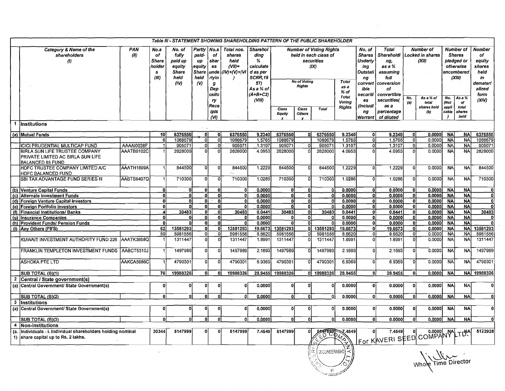|                       |                                                                                                                       |             |                                                     |                                                                      |                                                                                 |                                       | Table III - STATEMENT SHOWING SHAREHOLDING PATTERN OF THE PUBLIC SHAREHOLDER |                                                                               |                        |                                                                                                                                                               |                          |                                            |                                  |                                                                                            |                |                                               |                               |                                                                                      |                                                                             |
|-----------------------|-----------------------------------------------------------------------------------------------------------------------|-------------|-----------------------------------------------------|----------------------------------------------------------------------|---------------------------------------------------------------------------------|---------------------------------------|------------------------------------------------------------------------------|-------------------------------------------------------------------------------|------------------------|---------------------------------------------------------------------------------------------------------------------------------------------------------------|--------------------------|--------------------------------------------|----------------------------------|--------------------------------------------------------------------------------------------|----------------|-----------------------------------------------|-------------------------------|--------------------------------------------------------------------------------------|-----------------------------------------------------------------------------|
|                       | Category & Name of the<br>shareholders<br>$\left( l\right)$                                                           | PAN<br>(11) | No.s<br>of<br><b>Share</b><br>holder<br>s.<br>(III) | No. of<br>fully<br>paid up<br>equity<br><b>Share</b><br>held<br>(IV) | Partly   No.s<br>paid-<br>up<br>equity<br><b>Share</b><br>held<br>$\mathcal{N}$ | of<br>shar<br>es<br>rlyin<br>g<br>Dep | Total nos.<br>shares<br>held<br>$(VII)=$<br>unde   (IV) + (V) + (VI          | Sharehol<br>ding<br>%<br>calculate<br>d as per<br>SCRR,19<br>57)<br>As a % of |                        | <b>Number of Voting Rights</b><br>held in each class of<br>securities<br>Underly<br>(IX)<br>Outstati<br><b>No of Voting</b><br>Total<br><b>Rights</b><br>as a |                          |                                            |                                  | <b>Total</b><br>Shareholdi<br>ng,<br>as a %<br>assuming<br>full<br><i>conversion</i><br>οf |                | <b>Number of</b><br>Locked in shares<br>(XII) |                               | <b>Number of</b><br><b>Shares</b><br>pledged or<br>otherwise<br>encumbered<br>(XIII) | <b>Number</b><br>οf<br>equity<br>shares<br>held<br>in<br>demateri<br>alized |
|                       |                                                                                                                       |             |                                                     |                                                                      |                                                                                 | osito<br>ry<br>Rece<br>ipts<br>(VI)   |                                                                              | $(A+B+C2)$<br>(VIII)                                                          | <b>Class</b><br>Equity | Class<br><b>Others</b>                                                                                                                                        | <b>Total</b>             | $%$ of<br>Total<br>Voting<br><b>Rights</b> | securiti<br>es<br>(includi<br>ng | convertible<br>securities(<br>as a<br>percentage<br>Warrant of diluted                     | No.<br>(a)     | As a % of<br>total<br>shares held<br>(b)      | No.<br>(Not<br>appli<br>cable | Asa%<br>οf<br>total<br>shares<br>held                                                | form<br>(XIV)                                                               |
|                       | 1 Institutions                                                                                                        |             |                                                     |                                                                      |                                                                                 |                                       |                                                                              |                                                                               |                        |                                                                                                                                                               |                          |                                            |                                  |                                                                                            |                |                                               |                               |                                                                                      |                                                                             |
|                       | (a) Mutual Funds                                                                                                      |             | 10 <sup>1</sup>                                     | 6376550                                                              | -01                                                                             | 0                                     | 6376550                                                                      | 9.2340                                                                        | 6376550                | ٥I                                                                                                                                                            | 6376550                  | 9.2340                                     | 0l                               | 9.2340                                                                                     | 0              | 0.0000                                        | <b>NA</b>                     | <b>NAI</b>                                                                           | 6376550                                                                     |
|                       |                                                                                                                       |             | 6                                                   | 1088679                                                              | ٥l                                                                              | $\Omega$                              | 1088679                                                                      | 1.5765                                                                        | 1088679                |                                                                                                                                                               | 1088679                  | 1.5765                                     | $\Omega$                         | 1.5765                                                                                     | οl             | 0.0000                                        | <b>NA</b>                     | <b>NA</b>                                                                            | 1088679                                                                     |
|                       | ICICI PRUDENTIAL MULTICAP FUND                                                                                        | AAAAI0038F  |                                                     | 905071                                                               | $\Omega$                                                                        | $\Omega$                              | 905071                                                                       | 1.3107                                                                        | 905071                 |                                                                                                                                                               | 905071                   | 1.3107                                     | οI                               | 1.3107                                                                                     | ol             | 0.0000                                        | <b>NA</b>                     | <b>NA</b>                                                                            | 905071                                                                      |
|                       | BIRLA SUN LIFE TRUSTEE COMPANY<br>PRIVATE LIMITED AC BIRLA SUN LIFE<br><b>BALANCED 95 FUND</b>                        | AAATB0102C  |                                                     | 2828000                                                              | $\Omega$                                                                        | $\Omega$                              | 2828000                                                                      | 4.0953                                                                        | 2828000                |                                                                                                                                                               | 2828000                  | 4.0953                                     | $\Omega$                         | 4.0953                                                                                     | οl             | 0.0000                                        | <b>NA</b>                     | <b>NA</b>                                                                            | 2828000                                                                     |
|                       | HDFC TRUSTEE COMPANY LIMITED A/C<br>HDFC BALANCED FUND                                                                | AAATH1809A  |                                                     | 844500                                                               | $\Omega$                                                                        | -O                                    | 844500                                                                       | 1.2229                                                                        | 844500                 | $\Omega$                                                                                                                                                      | 844500                   | 1.2229                                     | $\Omega$                         | 1.2229                                                                                     | οl             | 0.0000                                        | <b>NA</b>                     | <b>NA</b>                                                                            | 844500                                                                      |
|                       | SBI TAX ADVANTAGE FUND SERIES III                                                                                     | AABTS6407Q  |                                                     | 710300                                                               | $\Omega$                                                                        | $\mathbf 0$                           | 710300                                                                       | 1.0286                                                                        | 710300                 | $\Omega$                                                                                                                                                      | 710300                   | 1.0286                                     | ٥I                               | 1.0286                                                                                     | οl             | 0.0000                                        | <b>NA</b>                     | <b>NA</b>                                                                            | 710300                                                                      |
|                       | (b) Venture Capital Funds                                                                                             |             | οł                                                  | 0                                                                    | $\Omega$                                                                        | $\mathbf{0}$                          | $\Omega$                                                                     | 0.0000                                                                        | $\Omega$               | Ωf                                                                                                                                                            | o                        | 0.0000                                     | $\Omega$                         | 0.0000                                                                                     | $\overline{0}$ | 0.00001                                       | <b>NA</b>                     | <b>NA</b>                                                                            |                                                                             |
|                       | (c) Alternate Investment Funds                                                                                        |             | nl                                                  | ۵İ                                                                   | n                                                                               | $\Omega$                              | $\Omega$                                                                     | 0.0000                                                                        | $\Omega$               | $\mathbf{0}$                                                                                                                                                  |                          | 0.0000                                     | ol                               | 0.0000                                                                                     | 0l             | 0.00001                                       | <b>NA</b>                     | <b>NA</b>                                                                            |                                                                             |
|                       | (d) Foreign Venture Capital Investors                                                                                 |             | 0.                                                  | $\Omega$<br>n                                                        | οl<br>O                                                                         | $\mathbf{0}$<br>$\overline{0}$        | $\Omega$<br>$\Omega$                                                         | 0.0000                                                                        | $\Omega$<br>$\Omega$   | ٥I<br>O,                                                                                                                                                      |                          | 0.0000                                     | ol                               | 0.0000                                                                                     | 0              | 0.00001                                       | <b>NA</b>                     | NA.<br><b>NA</b>                                                                     |                                                                             |
|                       | (e) Foreign Portfolio Investors<br>(f) Financial Institutions/ Banks                                                  |             | .oI                                                 | 30483                                                                | $\Omega$                                                                        | $\mathbf{0}$                          | 30483                                                                        | 0.0000<br>0.0441                                                              | 30483                  | ٥I                                                                                                                                                            | 30483                    | 0.0000<br>0.0441                           | 0<br>οl                          | 0.0000<br>0.0441                                                                           | -ol<br>-ol     | 0.00001<br>0.0000                             | <b>NA</b><br><b>NA</b>        | <b>NA</b>                                                                            | 30483                                                                       |
|                       | (g) Insurance Companies                                                                                               |             | ol                                                  |                                                                      | $\Omega$                                                                        | $\mathbf{0}$                          |                                                                              | 0.0000                                                                        | O                      | $\Omega$                                                                                                                                                      |                          | 0.0000                                     | ol                               | 0.0000                                                                                     | $\overline{0}$ | 0.00001                                       | <b>NA</b>                     | <b>NA</b>                                                                            |                                                                             |
|                       | (h) Provident Funds/ Pension Funds                                                                                    |             | $\Omega$                                            | n                                                                    | $\Omega$                                                                        | 0                                     | $\Omega$                                                                     | 0.0000                                                                        | 0                      | ٥l                                                                                                                                                            |                          | 0.0000                                     | ol                               | 0.0000                                                                                     |                | 0l<br>0.0000                                  | <b>NA</b>                     | <b>NA</b>                                                                            |                                                                             |
|                       | (i) Any Others (FII'S)                                                                                                |             | 52                                                  | 13581293                                                             | 0l                                                                              | οl                                    | 13581293                                                                     | 19.6673                                                                       | 13581293               | 0I                                                                                                                                                            | 13581293                 | 19.6673                                    | ٥l                               | 19.6673                                                                                    | ol             | 0.0000                                        | <b>NA</b>                     |                                                                                      | NA 13581293                                                                 |
|                       |                                                                                                                       |             | 59                                                  | 5981556                                                              | $\circ$                                                                         | 0                                     | 5981556                                                                      | 8.6620                                                                        | 5981556                | οI                                                                                                                                                            | 5981556                  | 8.6620                                     | σĪ                               | 8.6620                                                                                     | 0              | 0.0000                                        | <b>NA</b>                     | NA.                                                                                  | 5981556                                                                     |
|                       | KUWAIT INVESTMENT AUTHORITY FUND 226                                                                                  | AAATK3858Q  |                                                     | 1311447                                                              | $\Omega$                                                                        | $\Omega$                              | 1311447                                                                      | 1.8991                                                                        | 1311447                |                                                                                                                                                               | 1311447                  | 1.8991                                     | $\Omega$                         | 1.8991                                                                                     | ol             | 0.0000                                        | <b>NA</b>                     | <b>NA</b>                                                                            | 1311447                                                                     |
|                       | FRANKLIN TEMPLETON INVESTMENT FUNDS AABCT5310J                                                                        |             |                                                     | 1497989                                                              | ٥l                                                                              | $\Omega$                              | 1497989                                                                      | 2.1693                                                                        | 1497989                |                                                                                                                                                               | 1497989                  | 2.1693                                     | οI                               | 2.1693                                                                                     | 0l             | 0.0000                                        | <b>NA</b>                     | <b>NA</b>                                                                            | 1497989                                                                     |
|                       | <b>ASHOKA PTE LTD</b>                                                                                                 | AAKCA5986C  |                                                     | 4790301                                                              | Ωl                                                                              | $\Omega$                              | 4790301                                                                      | 6.9369                                                                        | 4790301                |                                                                                                                                                               | 4790301                  | 6.9369                                     | $\Omega$                         | 6.9369                                                                                     | 0l             | 0.0000                                        | <b>NA</b>                     | <b>NAI</b>                                                                           | 4790301                                                                     |
|                       | SUB TOTAL (B)(1)                                                                                                      |             | 76 I                                                | 19988326                                                             | ٥i                                                                              | $\mathbf{0}$                          | 19988326                                                                     | 28.9455                                                                       | 19988326               |                                                                                                                                                               | 0 19988326               | 28.9455                                    | $\Omega$                         | 28.9455                                                                                    |                | 0I<br>0.0000                                  | <b>NA</b>                     |                                                                                      | NA 19988326                                                                 |
| $\overline{2}$<br>(a) | Central / State government(s)<br>Central Government/ State Government(s)                                              |             | $\overline{0}$                                      | $\Omega$                                                             | $\mathbf{0}$                                                                    | $\Omega$                              | $\Omega$                                                                     | 0.0000                                                                        | Ω                      | O                                                                                                                                                             |                          | 0.0000                                     | οĪ                               | 0.0000                                                                                     |                | 0<br>0.0000                                   | <b>NA</b>                     | <b>NA</b>                                                                            |                                                                             |
|                       | SUB TOTAL (B)(2)                                                                                                      |             | $\mathbf{0}$                                        | n                                                                    | $\Omega$                                                                        | n                                     | $\Omega$                                                                     | 0.0000                                                                        | 0l                     | Ωİ                                                                                                                                                            | 0                        | 0.0000                                     | 0l                               | 0.0000                                                                                     | 0              | 0.0000                                        | <b>NA</b>                     | <b>NA</b>                                                                            |                                                                             |
|                       | 3 Institutions                                                                                                        |             |                                                     |                                                                      |                                                                                 |                                       |                                                                              |                                                                               |                        |                                                                                                                                                               |                          |                                            |                                  |                                                                                            |                |                                               |                               |                                                                                      |                                                                             |
|                       | (a) Central Government/ State Government(s)                                                                           |             | ٥l                                                  | 0                                                                    |                                                                                 | $\Omega$                              | 0                                                                            | 0.0000                                                                        | ٥I                     | ٥l                                                                                                                                                            | $\Omega$                 | 0.0000                                     | 0                                | 0.0000                                                                                     | 0l             | 0.00001                                       | <b>NA</b>                     | <b>NA</b>                                                                            |                                                                             |
|                       | SUB TOTAL (B)(3)                                                                                                      |             | 0Ì                                                  | n                                                                    | O                                                                               | $\Omega$                              | $\Omega$                                                                     | 0.0000                                                                        | 0l                     | οI                                                                                                                                                            | 0l                       | 0.0000                                     | οl                               | 0.0000                                                                                     | 0l             | 0.0000                                        | NAI                           | <b>NA</b>                                                                            |                                                                             |
| (a.                   | 4 Non-institutions<br>Individuals - i. Individual shareholders holding nominal<br>1) share capital up to Rs. 2 lakhs. |             | 30344                                               | 5147999                                                              | 0                                                                               | $\Omega$                              | 5147999                                                                      | 7.4549                                                                        | 5147999                |                                                                                                                                                               |                          | 5427999 7.4549                             |                                  | For KAVERI SEED COMPANY LTDA                                                               |                |                                               |                               |                                                                                      | 5122928                                                                     |
|                       |                                                                                                                       |             |                                                     |                                                                      |                                                                                 |                                       |                                                                              |                                                                               |                        |                                                                                                                                                               | $\alpha$<br>SECUNDERABAD | r<br>אי≺                                   |                                  |                                                                                            |                |                                               |                               | he Time Director                                                                     |                                                                             |

 $\overline{r}$  $\frac{1}{\sqrt{4}}$ 

Whole Time Director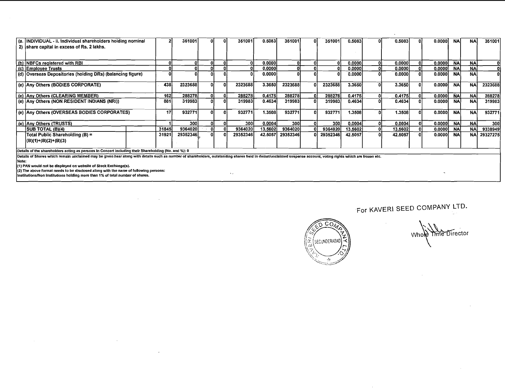| (a.  INDIVIDUAL - ii. Individual shareholders holding nominal<br>2) Share capital in excess of Rs. 2 lakhs.                                                                                                                                                                                  |       | 351001   |  |  | 351001   | 0.5083  | 351001     | 0 I | 351001   | 0.5083   | nı       | 0.5083  |  | 0.00001 | <b>NA</b> | <b>NA</b>  | 351001     |
|----------------------------------------------------------------------------------------------------------------------------------------------------------------------------------------------------------------------------------------------------------------------------------------------|-------|----------|--|--|----------|---------|------------|-----|----------|----------|----------|---------|--|---------|-----------|------------|------------|
|                                                                                                                                                                                                                                                                                              |       |          |  |  |          |         |            |     |          |          |          |         |  |         |           |            |            |
| (b) INBFCs registered with RBI                                                                                                                                                                                                                                                               |       |          |  |  |          | 0.0000  |            |     |          | 0.00001  | 01       | 0.0000  |  | 0.0000  | <b>NA</b> | <b>NA</b>  |            |
| (c) Employee Trusts                                                                                                                                                                                                                                                                          |       |          |  |  |          | 0.0000  |            |     |          | 0.0000   | ٥I       | 0.0000  |  | 0.0000  | <b>NA</b> | <b>NA</b>  |            |
| (d) Overseas Depositories (holding DRs) (balancing figure)                                                                                                                                                                                                                                   |       |          |  |  |          | 0.0000  |            |     |          | 0.00001  |          | 0.0000  |  | 0.0000  | <b>NA</b> | <b>NA</b>  |            |
| (e) Any Others (BODIES CORPORATE)                                                                                                                                                                                                                                                            | 438   | 2323688  |  |  | 2323688  | 3.3650  | 2323688    |     | 2323688  | 3.3650   | $\Omega$ | 3.3650  |  | 0.0000  | <b>NA</b> | <b>NA</b>  | 2323688    |
| (e) Any Others (CLEARING MEMBER)                                                                                                                                                                                                                                                             | 162   | 288278   |  |  | 288278   | 0.4175  | 288278     |     | 288278   | 0.4175   |          | 0.4175  |  | 0.0000  | <b>NA</b> | <b>NA</b>  | 288278     |
| (e) Any Others (NON RESIDENT INDIANS (NRI))                                                                                                                                                                                                                                                  | 881   | 319983   |  |  | 3199831  | 0.4634  | 319983     |     | 319983   | 0.4634   |          | 0.4634  |  | 0.0000  | <b>NA</b> | <b>NA</b>  | 319983     |
| (e) Any Others (OVERSEAS BODIES CORPORATES)                                                                                                                                                                                                                                                  | 17    | 932771   |  |  | 932771   | 1.3508  | 932771     |     | 932771   | 1.3508   | O        | 1.3508  |  | 0.0000  | <b>NA</b> | <b>NA</b>  | 932771     |
| (e) Any Others (TRUSTS)                                                                                                                                                                                                                                                                      |       | 300      |  |  | 300l     | 0.0004  | <b>300</b> |     | 300      | 0.0004   | 01       | 0.0004  |  | 0.0000  | <b>NA</b> | <b>NA</b>  | <b>300</b> |
| <b>SUB TOTAL (B)(4)</b>                                                                                                                                                                                                                                                                      | 31845 | 9364020  |  |  | 9364020  | 13.5602 | 93640201   |     | 9364020  | 13.5602) | 01       | 13.5602 |  | 0.00001 | <b>NA</b> | <b>NA</b>  | 9338949    |
| Total Public Shareholding (B) =<br>$(B)(1)+(B)(2)+(B)(3)$                                                                                                                                                                                                                                    | 31921 | 29352346 |  |  | 29352346 | 42.5057 | 29352346   |     | 29352346 | 42.5057  |          | 42.5057 |  | 0.0000  | <b>NA</b> | <b>NAI</b> | 29327275   |
| Details of the shareholders acting as persons in Concert including their Shareholding (No. and %): 0                                                                                                                                                                                         |       |          |  |  |          |         |            |     |          |          |          |         |  |         |           |            |            |
| Details of Shares which remain unclaimed may be given hear along with details such as number of shareholders, outstanding shares held in demat/unclaimed suspense account, voting rights which are frozen etc.<br>l Note:<br>(1) PAN would not be displayed on website of Stock Exchange(s). |       |          |  |  |          |         |            |     |          |          |          |         |  |         |           |            |            |

(2) The above format needs to be disclosed along with the name of following persons:<br>Institutions/Non Institutions holding more than 1% of total number of shares.

 $\sim$ 

 $\sim 10^{-10}$  km s  $^{-1}$ 

 $\sim$ 

 $\alpha$ 



 $\sim$ 

Whole *Ime* Director